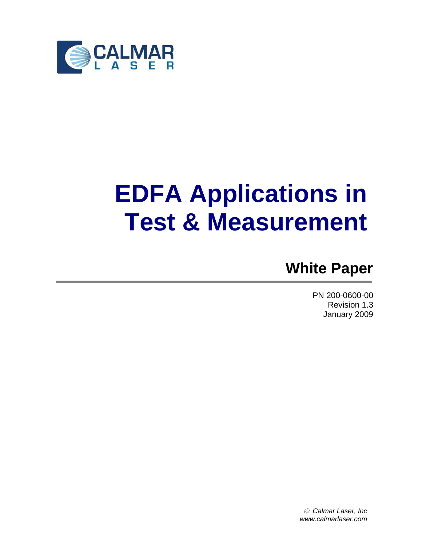

# **EDFA Applications in Test & Measurement**

# **White Paper**

PN 200-0600-00 Revision 1.3 January 2009

© *Calmar Laser, Inc www.calmarlaser.com*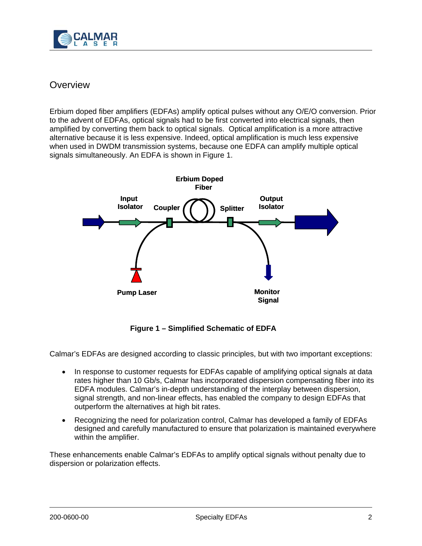

# **Overview**

Erbium doped fiber amplifiers (EDFAs) amplify optical pulses without any O/E/O conversion. Prior to the advent of EDFAs, optical signals had to be first converted into electrical signals, then amplified by converting them back to optical signals. Optical amplification is a more attractive alternative because it is less expensive. Indeed, optical amplification is much less expensive when used in DWDM transmission systems, because one EDFA can amplify multiple optical signals simultaneously. An EDFA is shown in Figure 1.



**Figure 1 – Simplified Schematic of EDFA** 

Calmar's EDFAs are designed according to classic principles, but with two important exceptions:

- In response to customer requests for EDFAs capable of amplifying optical signals at data rates higher than 10 Gb/s, Calmar has incorporated dispersion compensating fiber into its EDFA modules. Calmar's in-depth understanding of the interplay between dispersion, signal strength, and non-linear effects, has enabled the company to design EDFAs that outperform the alternatives at high bit rates.
- Recognizing the need for polarization control, Calmar has developed a family of EDFAs designed and carefully manufactured to ensure that polarization is maintained everywhere within the amplifier.

These enhancements enable Calmar's EDFAs to amplify optical signals without penalty due to dispersion or polarization effects.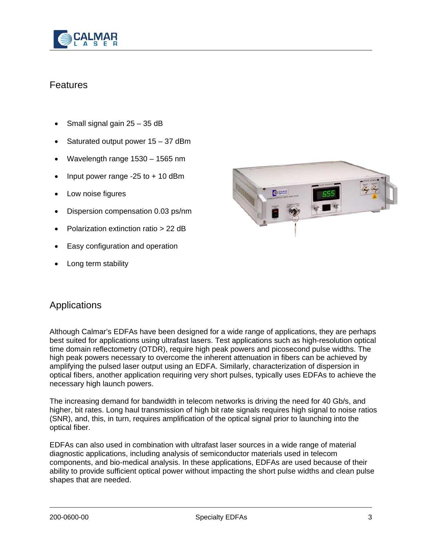

# **Features**

- Small signal gain 25 35 dB
- Saturated output power 15 37 dBm
- Wavelength range 1530 1565 nm
- Input power range  $-25$  to  $+10$  dBm
- Low noise figures
- Dispersion compensation 0.03 ps/nm
- Polarization extinction ratio > 22 dB
- Easy configuration and operation
- Long term stability



### Applications

Although Calmar's EDFAs have been designed for a wide range of applications, they are perhaps best suited for applications using ultrafast lasers. Test applications such as high-resolution optical time domain reflectometry (OTDR), require high peak powers and picosecond pulse widths. The high peak powers necessary to overcome the inherent attenuation in fibers can be achieved by amplifying the pulsed laser output using an EDFA. Similarly, characterization of dispersion in optical fibers, another application requiring very short pulses, typically uses EDFAs to achieve the necessary high launch powers.

The increasing demand for bandwidth in telecom networks is driving the need for 40 Gb/s, and higher, bit rates. Long haul transmission of high bit rate signals requires high signal to noise ratios (SNR), and, this, in turn, requires amplification of the optical signal prior to launching into the optical fiber.

EDFAs can also used in combination with ultrafast laser sources in a wide range of material diagnostic applications, including analysis of semiconductor materials used in telecom components, and bio-medical analysis. In these applications, EDFAs are used because of their ability to provide sufficient optical power without impacting the short pulse widths and clean pulse shapes that are needed.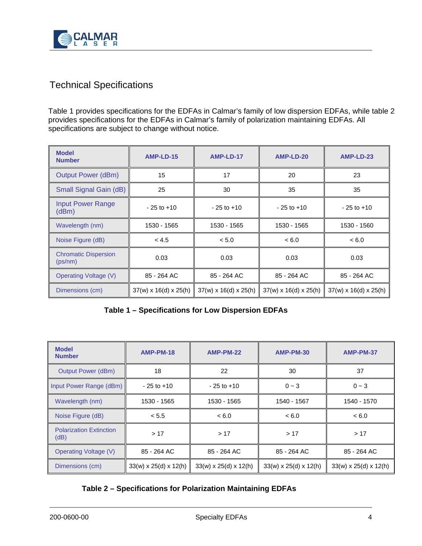

# Technical Specifications

Table 1 provides specifications for the EDFAs in Calmar's family of low dispersion EDFAs, while table 2 provides specifications for the EDFAs in Calmar's family of polarization maintaining EDFAs. All specifications are subject to change without notice.

| <b>Model</b><br><b>Number</b>          | AMP-LD-15                         | AMP-LD-17                         | AMP-LD-20                         | AMP-LD-23                         |
|----------------------------------------|-----------------------------------|-----------------------------------|-----------------------------------|-----------------------------------|
| <b>Output Power (dBm)</b>              | 15                                | 17                                | 20                                | 23                                |
| Small Signal Gain (dB)                 | 25                                | 30                                | 35                                | 35                                |
| <b>Input Power Range</b><br>(dBm)      | $-25$ to $+10$                    | $-25$ to $+10$                    | $-25$ to $+10$                    | $-25$ to $+10$                    |
| Wavelength (nm)                        | 1530 - 1565                       | 1530 - 1565                       | 1530 - 1565                       | 1530 - 1560                       |
| Noise Figure (dB)                      | < 4.5                             | < 5.0                             | < 6.0                             | < 6.0                             |
| <b>Chromatic Dispersion</b><br>(ps/nm) | 0.03                              | 0.03                              | 0.03                              | 0.03                              |
| <b>Operating Voltage (V)</b>           | 85 - 264 AC                       | 85 - 264 AC                       | 85 - 264 AC                       | 85 - 264 AC                       |
| Dimensions (cm)                        | $37(w) \times 16(d) \times 25(h)$ | $37(w) \times 16(d) \times 25(h)$ | $37(w) \times 16(d) \times 25(h)$ | $37(w) \times 16(d) \times 25(h)$ |

| Table 1 - Specifications for Low Dispersion EDFAs |  |
|---------------------------------------------------|--|
|---------------------------------------------------|--|

| <b>Model</b><br><b>Number</b>          | <b>AMP-PM-18</b>                  | <b>AMP-PM-22</b>                  | AMP-PM-30                         | AMP-PM-37                         |
|----------------------------------------|-----------------------------------|-----------------------------------|-----------------------------------|-----------------------------------|
| <b>Output Power (dBm)</b>              | 18                                | 22                                | 30                                | 37                                |
| Input Power Range (dBm)                | $-25$ to $+10$                    | $-25$ to $+10$                    | $0 - 3$                           | $0 - 3$                           |
| Wavelength (nm)                        | 1530 - 1565                       | 1530 - 1565                       | 1540 - 1567                       | 1540 - 1570                       |
| Noise Figure (dB)                      | < 5.5                             | < 6.0                             | < 6.0                             | < 6.0                             |
| <b>Polarization Extinction</b><br>(dB) | >17                               | >17                               | >17                               | >17                               |
| <b>Operating Voltage (V)</b>           | 85 - 264 AC                       | 85 - 264 AC                       | 85 - 264 AC                       | 85 - 264 AC                       |
| Dimensions (cm)                        | $33(w) \times 25(d) \times 12(h)$ | $33(w) \times 25(d) \times 12(h)$ | $33(w) \times 25(d) \times 12(h)$ | $33(w) \times 25(d) \times 12(h)$ |

#### **Table 2 – Specifications for Polarization Maintaining EDFAs**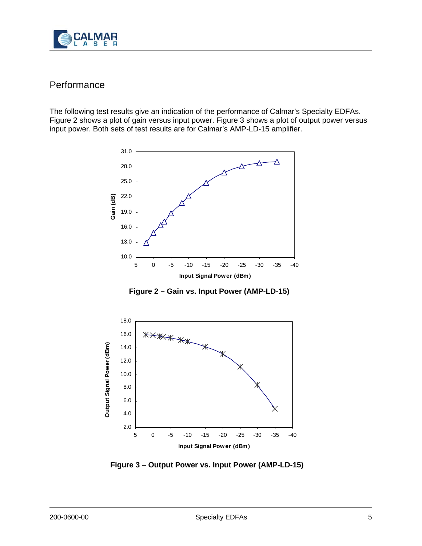

# Performance

The following test results give an indication of the performance of Calmar's Specialty EDFAs. Figure 2 shows a plot of gain versus input power. Figure 3 shows a plot of output power versus input power. Both sets of test results are for Calmar's AMP-LD-15 amplifier.



**Figure 2 – Gain vs. Input Power (AMP-LD-15)**



**Figure 3 – Output Power vs. Input Power (AMP-LD-15)**